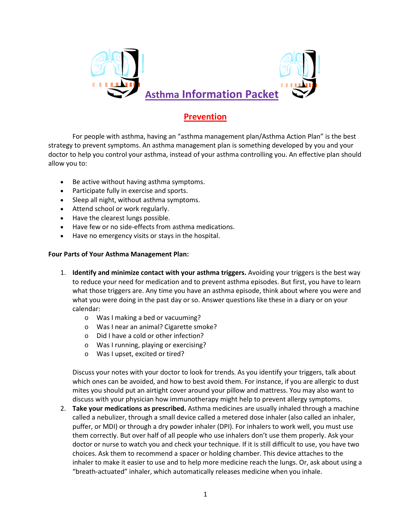

## **Prevention**

For people with asthma, having an "asthma management plan/Asthma Action Plan" is the best strategy to prevent symptoms. An asthma management plan is something developed by you and your doctor to help you control your asthma, instead of your asthma controlling you. An effective plan should allow you to:

- Be active without having asthma symptoms.
- Participate fully in exercise and sports.
- Sleep all night, without asthma symptoms.
- Attend school or work regularly.
- Have the clearest lungs possible.
- Have few or no side-effects from asthma medications.
- Have no emergency visits or stays in the hospital.

## **Four Parts of Your Asthma Management Plan:**

- 1. **Identify and minimize contact with your asthma triggers.** Avoiding your triggers is the best way to reduce your need for medication and to prevent asthma episodes. But first, you have to learn what those triggers are. Any time you have an asthma episode, think about where you were and what you were doing in the past day or so. Answer questions like these in a diary or on your calendar:
	- o Was I making a bed or vacuuming?
	- o Was I near an animal? Cigarette smoke?
	- o Did I have a cold or other infection?
	- o Was I running, playing or exercising?
	- o Was I upset, excited or tired?

Discuss your notes with your doctor to look for trends. As you identify your triggers, talk about which ones can be avoided, and how to best avoid them. For instance, if you are allergic to dust mites you should put an airtight cover around your pillow and mattress. You may also want to discuss with your physician how immunotherapy might help to prevent allergy symptoms.

2. **Take your medications as prescribed.** Asthma medicines are usually inhaled through a machine called a nebulizer, through a small device called a metered dose inhaler (also called an inhaler, puffer, or MDI) or through a dry powder inhaler (DPI). For inhalers to work well, you must use them correctly. But over half of all people who use inhalers don't use them properly. Ask your doctor or nurse to watch you and check your technique. If it is still difficult to use, you have two choices. Ask them to recommend a spacer or holding chamber. This device attaches to the inhaler to make it easier to use and to help more medicine reach the lungs. Or, ask about using a "breath-actuated" inhaler, which automatically releases medicine when you inhale.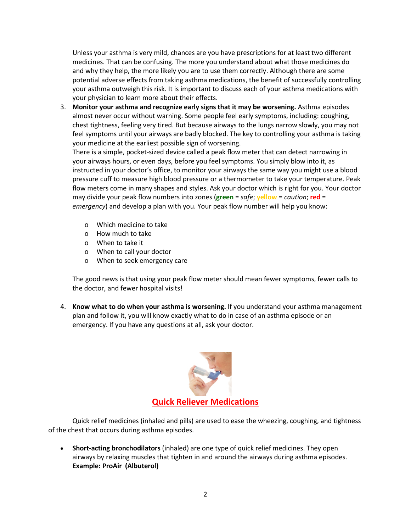Unless your asthma is very mild, chances are you have prescriptions for at least two different medicines. That can be confusing. The more you understand about what those medicines do and why they help, the more likely you are to use them correctly. Although there are some potential adverse effects from taking asthma medications, the benefit of successfully controlling your asthma outweigh this risk. It is important to discuss each of your asthma medications with your physician to learn more about their effects.

3. **Monitor your asthma and recognize early signs that it may be worsening.** Asthma episodes almost never occur without warning. Some people feel early symptoms, including: coughing, chest tightness, feeling very tired. But because airways to the lungs narrow slowly, you may not feel symptoms until your airways are badly blocked. The key to controlling your asthma is taking your medicine at the earliest possible sign of worsening.

There is a simple, pocket-sized device called a peak flow meter that can detect narrowing in your airways hours, or even days, before you feel symptoms. You simply blow into it, as instructed in your doctor's office, to monitor your airways the same way you might use a blood pressure cuff to measure high blood pressure or a thermometer to take your temperature. Peak flow meters come in many shapes and styles. Ask your doctor which is right for you. Your doctor may divide your peak flow numbers into zones (**green** = *safe*; **yellow** = *caution*; **red** = *emergency*) and develop a plan with you. Your peak flow number will help you know:

- o Which medicine to take
- o How much to take
- o When to take it
- o When to call your doctor
- o When to seek emergency care

The good news is that using your peak flow meter should mean fewer symptoms, fewer calls to the doctor, and fewer hospital visits!

4. **Know what to do when your asthma is worsening.** If you understand your asthma management plan and follow it, you will know exactly what to do in case of an asthma episode or an emergency. If you have any questions at all, ask your doctor.



Quick relief medicines (inhaled and pills) are used to ease the wheezing, coughing, and tightness of the chest that occurs during asthma episodes.

• **Short-acting bronchodilators** (inhaled) are one type of quick relief medicines. They open airways by relaxing muscles that tighten in and around the airways during asthma episodes. **Example: ProAir (Albuterol)**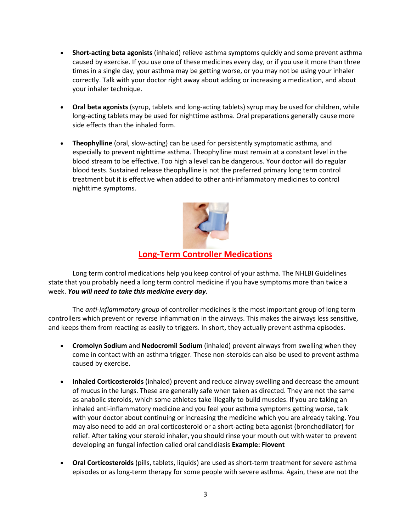- **Short-acting beta agonists** (inhaled) relieve asthma symptoms quickly and some prevent asthma caused by exercise. If you use one of these medicines every day, or if you use it more than three times in a single day, your asthma may be getting worse, or you may not be using your inhaler correctly. Talk with your doctor right away about adding or increasing a medication, and about your inhaler technique.
- **Oral beta agonists** (syrup, tablets and long-acting tablets) syrup may be used for children, while long-acting tablets may be used for nighttime asthma. Oral preparations generally cause more side effects than the inhaled form.
- **Theophylline** (oral, slow-acting) can be used for persistently symptomatic asthma, and especially to prevent nighttime asthma. Theophylline must remain at a constant level in the blood stream to be effective. Too high a level can be dangerous. Your doctor will do regular blood tests. Sustained release theophylline is not the preferred primary long term control treatment but it is effective when added to other anti-inflammatory medicines to control nighttime symptoms.



## **Long-Term Controller Medications**

Long term control medications help you keep control of your asthma. The NHLBI Guidelines state that you probably need a long term control medicine if you have symptoms more than twice a week. *You will need to take this medicine every day*.

The *anti-inflammatory group* of controller medicines is the most important group of long term controllers which prevent or reverse inflammation in the airways. This makes the airways less sensitive, and keeps them from reacting as easily to triggers. In short, they actually prevent asthma episodes.

- **Cromolyn Sodium** and **Nedocromil Sodium** (inhaled) prevent airways from swelling when they come in contact with an asthma trigger. These non-steroids can also be used to prevent asthma caused by exercise.
- **Inhaled Corticosteroids** (inhaled) prevent and reduce airway swelling and decrease the amount of mucus in the lungs. These are generally safe when taken as directed. They are not the same as anabolic steroids, which some athletes take illegally to build muscles. If you are taking an inhaled anti-inflammatory medicine and you feel your asthma symptoms getting worse, talk with your doctor about continuing or increasing the medicine which you are already taking. You may also need to add an oral corticosteroid or a short-acting beta agonist (bronchodilator) for relief. After taking your steroid inhaler, you should rinse your mouth out with water to prevent developing an fungal infection called oral candidiasis **Example: Flovent**
- **Oral Corticosteroids** (pills, tablets, liquids) are used as short-term treatment for severe asthma episodes or as long-term therapy for some people with severe asthma. Again, these are not the